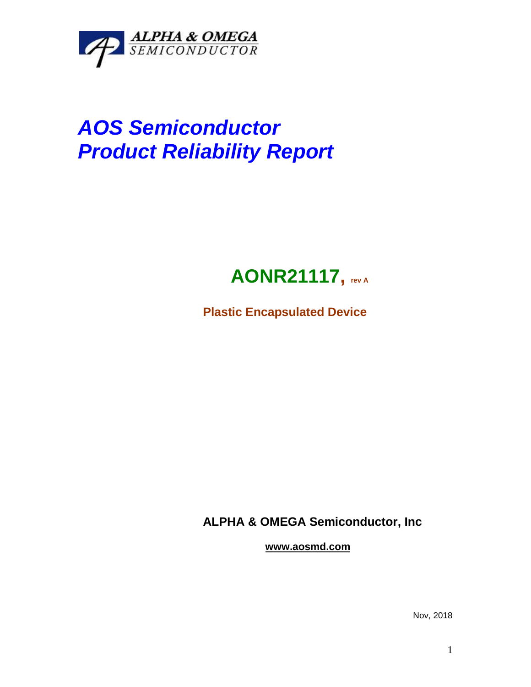

# *AOS Semiconductor Product Reliability Report*

## **AONR21117, rev <sup>A</sup>**

**Plastic Encapsulated Device**

**ALPHA & OMEGA Semiconductor, Inc**

**www.aosmd.com**

Nov, 2018